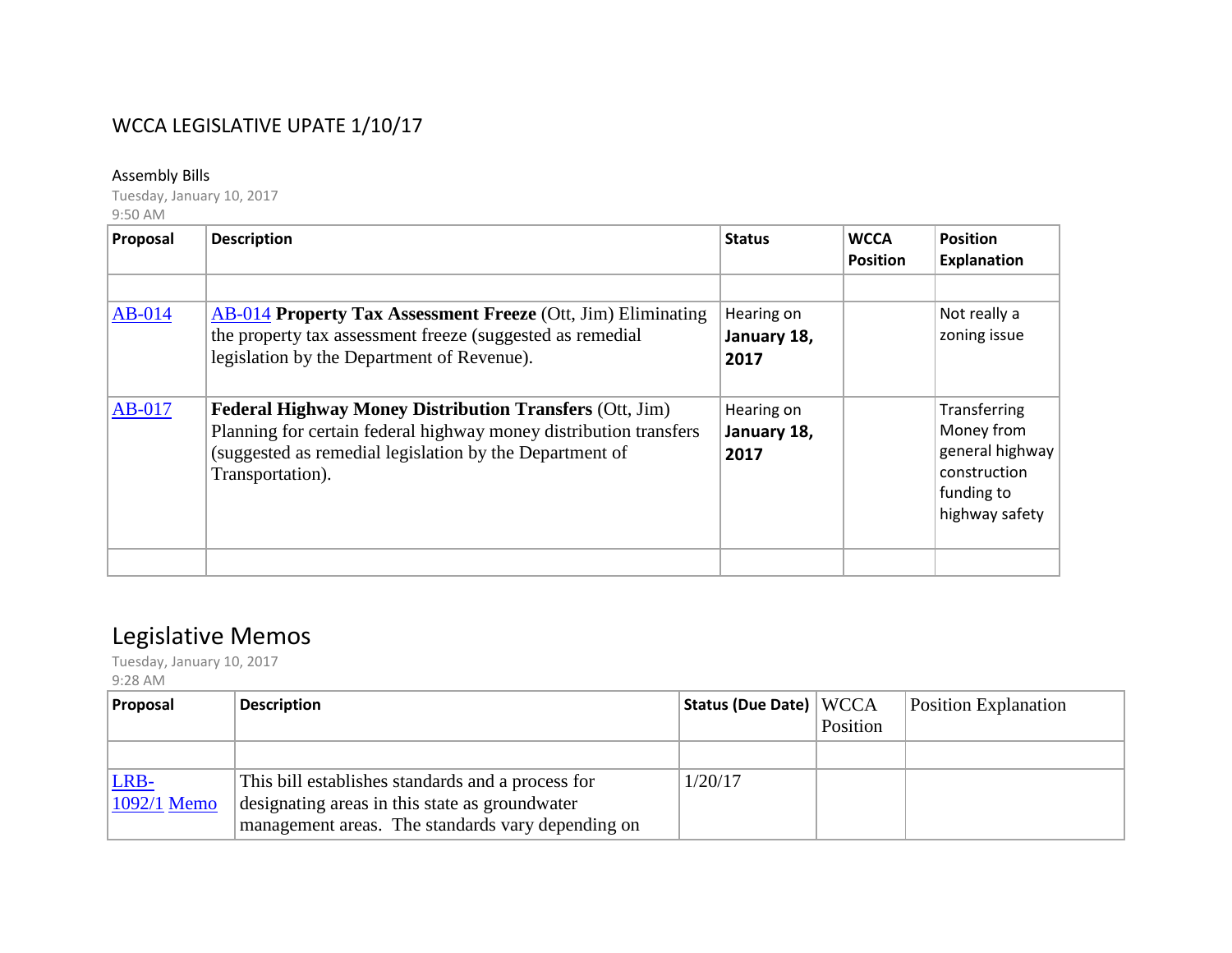## WCCA LEGISLATIVE UPATE 1/10/17

## Assembly Bills

Tuesday, January 10, 2017 9:50 AM

| Proposal | <b>Description</b>                                                                                                                                                                                                 | <b>Status</b>                     | <b>WCCA</b><br><b>Position</b> | <b>Position</b><br><b>Explanation</b>                                                         |
|----------|--------------------------------------------------------------------------------------------------------------------------------------------------------------------------------------------------------------------|-----------------------------------|--------------------------------|-----------------------------------------------------------------------------------------------|
| $AB-014$ | <b>AB-014 Property Tax Assessment Freeze</b> (Ott, Jim) Eliminating<br>the property tax assessment freeze (suggested as remedial<br>legislation by the Department of Revenue).                                     | Hearing on<br>January 18,<br>2017 |                                | Not really a<br>zoning issue                                                                  |
| $AB-017$ | <b>Federal Highway Money Distribution Transfers (Ott, Jim)</b><br>Planning for certain federal highway money distribution transfers<br>(suggested as remedial legislation by the Department of<br>Transportation). | Hearing on<br>January 18,<br>2017 |                                | Transferring<br>Money from<br>general highway<br>construction<br>funding to<br>highway safety |
|          |                                                                                                                                                                                                                    |                                   |                                |                                                                                               |

## Legislative Memos

Tuesday, January 10, 2017 9:28 AM

| <b>Proposal</b>     | <b>Description</b>                                                                                                                                       | Status (Due Date) WCCA | Position | <b>Position Explanation</b> |
|---------------------|----------------------------------------------------------------------------------------------------------------------------------------------------------|------------------------|----------|-----------------------------|
|                     |                                                                                                                                                          |                        |          |                             |
| LRB-<br>1092/1 Memo | This bill establishes standards and a process for<br>designating areas in this state as groundwater<br>management areas. The standards vary depending on | 1/20/17                |          |                             |